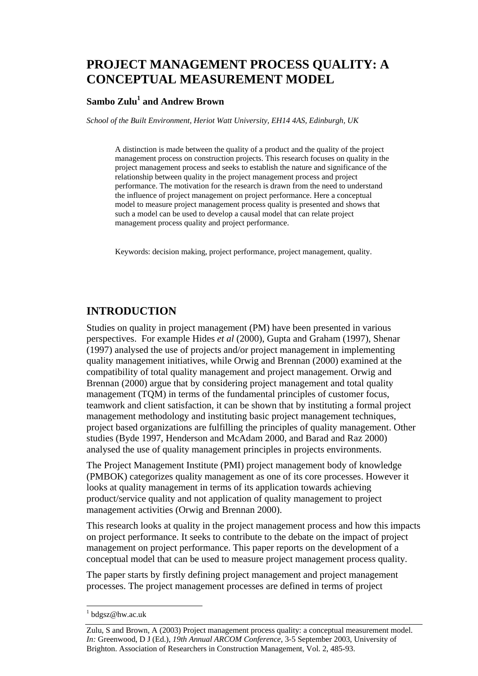# **PROJECT MANAGEMENT PROCESS QUALITY: A CONCEPTUAL MEASUREMENT MODEL**

## **Sambo Zulu1 and Andrew Brown**

*School of the Built Environment, Heriot Watt University, EH14 4AS, Edinburgh, UK* 

A distinction is made between the quality of a product and the quality of the project management process on construction projects. This research focuses on quality in the project management process and seeks to establish the nature and significance of the relationship between quality in the project management process and project performance. The motivation for the research is drawn from the need to understand the influence of project management on project performance. Here a conceptual model to measure project management process quality is presented and shows that such a model can be used to develop a causal model that can relate project management process quality and project performance.

Keywords: decision making, project performance, project management, quality.

## **INTRODUCTION**

Studies on quality in project management (PM) have been presented in various perspectives. For example Hides *et al* (2000), Gupta and Graham (1997), Shenar (1997) analysed the use of projects and/or project management in implementing quality management initiatives, while Orwig and Brennan (2000) examined at the compatibility of total quality management and project management. Orwig and Brennan (2000) argue that by considering project management and total quality management (TQM) in terms of the fundamental principles of customer focus, teamwork and client satisfaction, it can be shown that by instituting a formal project management methodology and instituting basic project management techniques, project based organizations are fulfilling the principles of quality management. Other studies (Byde 1997, Henderson and McAdam 2000, and Barad and Raz 2000) analysed the use of quality management principles in projects environments.

The Project Management Institute (PMI) project management body of knowledge (PMBOK) categorizes quality management as one of its core processes. However it looks at quality management in terms of its application towards achieving product/service quality and not application of quality management to project management activities (Orwig and Brennan 2000).

This research looks at quality in the project management process and how this impacts on project performance. It seeks to contribute to the debate on the impact of project management on project performance. This paper reports on the development of a conceptual model that can be used to measure project management process quality.

The paper starts by firstly defining project management and project management processes. The project management processes are defined in terms of project

<sup>&</sup>lt;sup>1</sup> bdgsz@hw.ac.uk

Zulu, S and Brown, A (2003) Project management process quality: a conceptual measurement model. *In:* Greenwood, D J (Ed.), *19th Annual ARCOM Conference*, 3-5 September 2003, University of Brighton. Association of Researchers in Construction Management, Vol. 2, 485-93.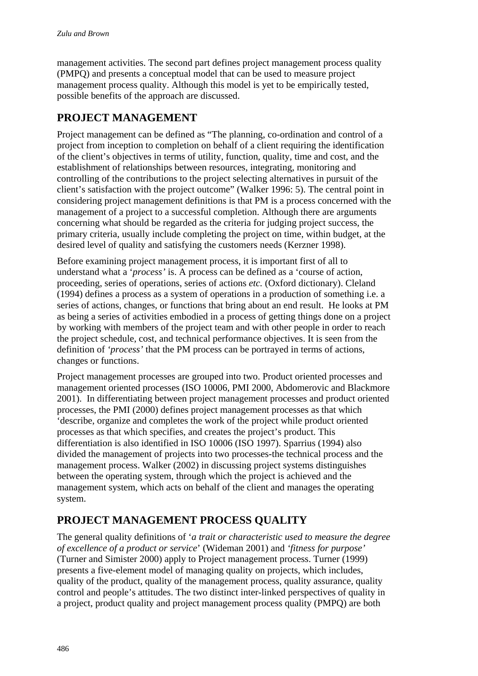management activities. The second part defines project management process quality (PMPQ) and presents a conceptual model that can be used to measure project management process quality. Although this model is yet to be empirically tested, possible benefits of the approach are discussed.

## **PROJECT MANAGEMENT**

Project management can be defined as "The planning, co-ordination and control of a project from inception to completion on behalf of a client requiring the identification of the client's objectives in terms of utility, function, quality, time and cost, and the establishment of relationships between resources, integrating, monitoring and controlling of the contributions to the project selecting alternatives in pursuit of the client's satisfaction with the project outcome" (Walker 1996: 5). The central point in considering project management definitions is that PM is a process concerned with the management of a project to a successful completion. Although there are arguments concerning what should be regarded as the criteria for judging project success, the primary criteria, usually include completing the project on time, within budget, at the desired level of quality and satisfying the customers needs (Kerzner 1998).

Before examining project management process, it is important first of all to understand what a '*process'* is. A process can be defined as a 'course of action, proceeding, series of operations, series of actions *etc.* (Oxford dictionary). Cleland (1994) defines a process as a system of operations in a production of something i.e. a series of actions, changes, or functions that bring about an end result. He looks at PM as being a series of activities embodied in a process of getting things done on a project by working with members of the project team and with other people in order to reach the project schedule, cost, and technical performance objectives. It is seen from the definition of *'process'* that the PM process can be portrayed in terms of actions, changes or functions.

Project management processes are grouped into two. Product oriented processes and management oriented processes (ISO 10006, PMI 2000, Abdomerovic and Blackmore 2001). In differentiating between project management processes and product oriented processes, the PMI (2000) defines project management processes as that which 'describe, organize and completes the work of the project while product oriented processes as that which specifies, and creates the project's product. This differentiation is also identified in ISO 10006 (ISO 1997). Sparrius (1994) also divided the management of projects into two processes-the technical process and the management process. Walker (2002) in discussing project systems distinguishes between the operating system, through which the project is achieved and the management system, which acts on behalf of the client and manages the operating system.

## **PROJECT MANAGEMENT PROCESS QUALITY**

The general quality definitions of '*a trait or characteristic used to measure the degree of excellence of a product or service*' (Wideman 2001) and *'fitness for purpose'* (Turner and Simister 2000) apply to Project management process. Turner (1999) presents a five-element model of managing quality on projects, which includes, quality of the product, quality of the management process, quality assurance, quality control and people's attitudes. The two distinct inter-linked perspectives of quality in a project, product quality and project management process quality (PMPQ) are both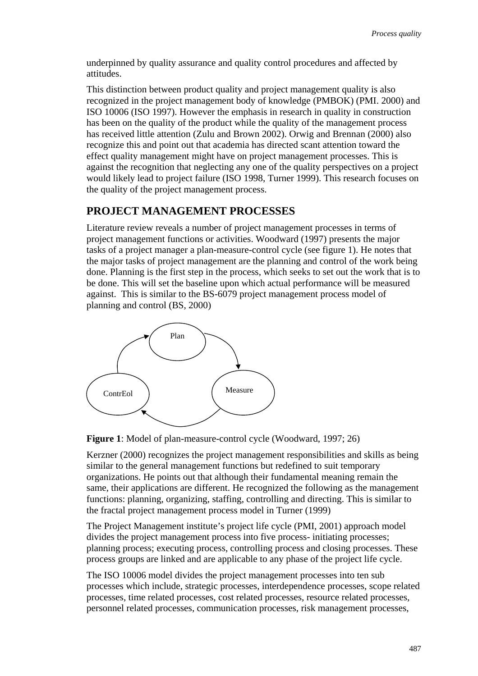underpinned by quality assurance and quality control procedures and affected by attitudes.

This distinction between product quality and project management quality is also recognized in the project management body of knowledge (PMBOK) (PMI. 2000) and ISO 10006 (ISO 1997). However the emphasis in research in quality in construction has been on the quality of the product while the quality of the management process has received little attention (Zulu and Brown 2002). Orwig and Brennan (2000) also recognize this and point out that academia has directed scant attention toward the effect quality management might have on project management processes. This is against the recognition that neglecting any one of the quality perspectives on a project would likely lead to project failure (ISO 1998, Turner 1999). This research focuses on the quality of the project management process.

## **PROJECT MANAGEMENT PROCESSES**

Literature review reveals a number of project management processes in terms of project management functions or activities. Woodward (1997) presents the major tasks of a project manager a plan-measure-control cycle (see figure 1). He notes that the major tasks of project management are the planning and control of the work being done. Planning is the first step in the process, which seeks to set out the work that is to be done. This will set the baseline upon which actual performance will be measured against. This is similar to the BS-6079 project management process model of planning and control (BS, 2000)





Kerzner (2000) recognizes the project management responsibilities and skills as being similar to the general management functions but redefined to suit temporary organizations. He points out that although their fundamental meaning remain the same, their applications are different. He recognized the following as the management functions: planning, organizing, staffing, controlling and directing. This is similar to the fractal project management process model in Turner (1999)

The Project Management institute's project life cycle (PMI, 2001) approach model divides the project management process into five process- initiating processes; planning process; executing process, controlling process and closing processes. These process groups are linked and are applicable to any phase of the project life cycle.

The ISO 10006 model divides the project management processes into ten sub processes which include, strategic processes, interdependence processes, scope related processes, time related processes, cost related processes, resource related processes, personnel related processes, communication processes, risk management processes,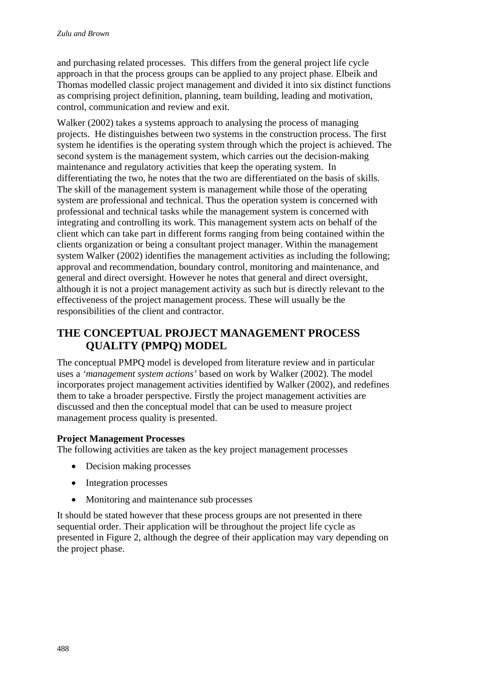and purchasing related processes. This differs from the general project life cycle approach in that the process groups can be applied to any project phase. Elbeik and Thomas modelled classic project management and divided it into six distinct functions as comprising project definition, planning, team building, leading and motivation, control, communication and review and exit.

Walker (2002) takes a systems approach to analysing the process of managing projects. He distinguishes between two systems in the construction process. The first system he identifies is the operating system through which the project is achieved. The second system is the management system, which carries out the decision-making maintenance and regulatory activities that keep the operating system. In differentiating the two, he notes that the two are differentiated on the basis of skills. The skill of the management system is management while those of the operating system are professional and technical. Thus the operation system is concerned with professional and technical tasks while the management system is concerned with integrating and controlling its work. This management system acts on behalf of the client which can take part in different forms ranging from being contained within the clients organization or being a consultant project manager. Within the management system Walker (2002) identifies the management activities as including the following; approval and recommendation, boundary control, monitoring and maintenance, and general and direct oversight. However he notes that general and direct oversight, although it is not a project management activity as such but is directly relevant to the effectiveness of the project management process. These will usually be the responsibilities of the client and contractor.

## **THE CONCEPTUAL PROJECT MANAGEMENT PROCESS QUALITY (PMPQ) MODEL**

The conceptual PMPQ model is developed from literature review and in particular uses a *'management system actions'* based on work by Walker (2002). The model incorporates project management activities identified by Walker (2002), and redefines them to take a broader perspective. Firstly the project management activities are discussed and then the conceptual model that can be used to measure project management process quality is presented.

## **Project Management Processes**

The following activities are taken as the key project management processes

- Decision making processes
- Integration processes
- Monitoring and maintenance sub processes

It should be stated however that these process groups are not presented in there sequential order. Their application will be throughout the project life cycle as presented in Figure 2, although the degree of their application may vary depending on the project phase.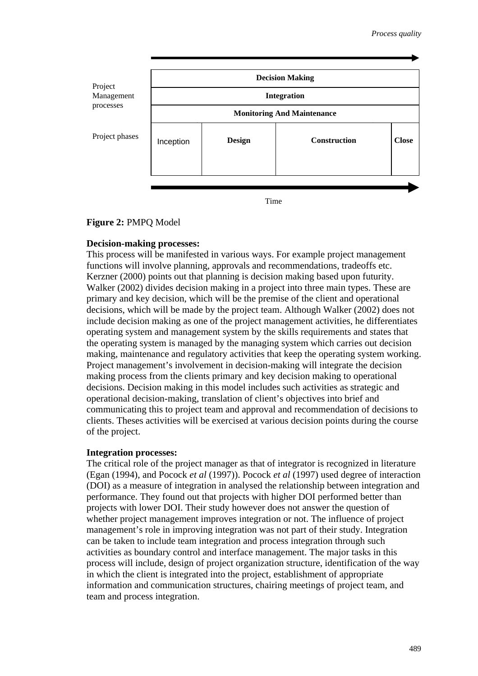

**Figure 2:** PMPQ Model

#### **Decision-making processes:**

This process will be manifested in various ways. For example project management functions will involve planning, approvals and recommendations, tradeoffs etc. Kerzner (2000) points out that planning is decision making based upon futurity. Walker (2002) divides decision making in a project into three main types. These are primary and key decision, which will be the premise of the client and operational decisions, which will be made by the project team. Although Walker (2002) does not include decision making as one of the project management activities, he differentiates operating system and management system by the skills requirements and states that the operating system is managed by the managing system which carries out decision making, maintenance and regulatory activities that keep the operating system working. Project management's involvement in decision-making will integrate the decision making process from the clients primary and key decision making to operational decisions. Decision making in this model includes such activities as strategic and operational decision-making, translation of client's objectives into brief and communicating this to project team and approval and recommendation of decisions to clients. Theses activities will be exercised at various decision points during the course of the project.

#### **Integration processes:**

The critical role of the project manager as that of integrator is recognized in literature (Egan (1994), and Pocock *et al* (1997)). Pocock *et al* (1997) used degree of interaction (DOI) as a measure of integration in analysed the relationship between integration and performance. They found out that projects with higher DOI performed better than projects with lower DOI. Their study however does not answer the question of whether project management improves integration or not. The influence of project management's role in improving integration was not part of their study. Integration can be taken to include team integration and process integration through such activities as boundary control and interface management. The major tasks in this process will include, design of project organization structure, identification of the way in which the client is integrated into the project, establishment of appropriate information and communication structures, chairing meetings of project team, and team and process integration.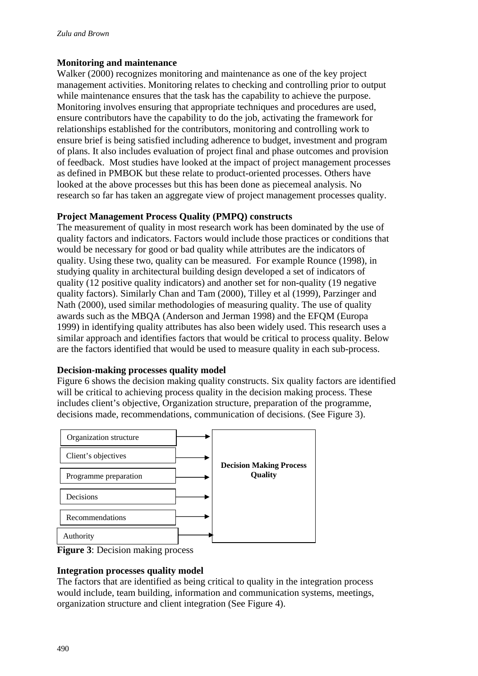### **Monitoring and maintenance**

Walker (2000) recognizes monitoring and maintenance as one of the key project management activities. Monitoring relates to checking and controlling prior to output while maintenance ensures that the task has the capability to achieve the purpose. Monitoring involves ensuring that appropriate techniques and procedures are used, ensure contributors have the capability to do the job, activating the framework for relationships established for the contributors, monitoring and controlling work to ensure brief is being satisfied including adherence to budget, investment and program of plans. It also includes evaluation of project final and phase outcomes and provision of feedback. Most studies have looked at the impact of project management processes as defined in PMBOK but these relate to product-oriented processes. Others have looked at the above processes but this has been done as piecemeal analysis. No research so far has taken an aggregate view of project management processes quality.

### **Project Management Process Quality (PMPQ) constructs**

The measurement of quality in most research work has been dominated by the use of quality factors and indicators. Factors would include those practices or conditions that would be necessary for good or bad quality while attributes are the indicators of quality. Using these two, quality can be measured. For example Rounce (1998), in studying quality in architectural building design developed a set of indicators of quality (12 positive quality indicators) and another set for non-quality (19 negative quality factors). Similarly Chan and Tam (2000), Tilley et al (1999), Parzinger and Nath (2000), used similar methodologies of measuring quality. The use of quality awards such as the MBQA (Anderson and Jerman 1998) and the EFQM (Europa 1999) in identifying quality attributes has also been widely used. This research uses a similar approach and identifies factors that would be critical to process quality. Below are the factors identified that would be used to measure quality in each sub-process.

### **Decision-making processes quality model**

Figure 6 shows the decision making quality constructs. Six quality factors are identified will be critical to achieving process quality in the decision making process. These includes client's objective, Organization structure, preparation of the programme, decisions made, recommendations, communication of decisions. (See Figure 3).



**Figure 3**: Decision making process

## **Integration processes quality model**

The factors that are identified as being critical to quality in the integration process would include, team building, information and communication systems, meetings, organization structure and client integration (See Figure 4).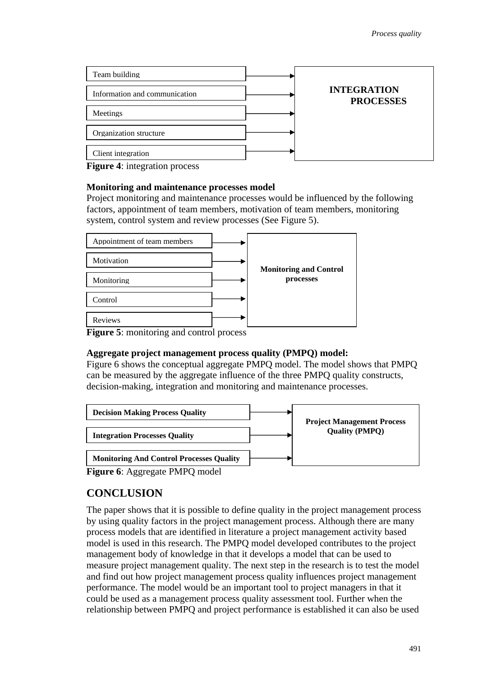| Team building                 |                                        |
|-------------------------------|----------------------------------------|
| Information and communication | <b>INTEGRATION</b><br><b>PROCESSES</b> |
| Meetings                      |                                        |
| Organization structure        |                                        |
| Client integration            |                                        |

**Figure 4:** integration process

#### **Monitoring and maintenance processes model**

Project monitoring and maintenance processes would be influenced by the following factors, appointment of team members, motivation of team members, monitoring system, control system and review processes (See Figure 5).



**Figure 5**: monitoring and control process

### **Aggregate project management process quality (PMPQ) model:**

Figure 6 shows the conceptual aggregate PMPQ model. The model shows that PMPQ can be measured by the aggregate influence of the three PMPQ quality constructs, decision-making, integration and monitoring and maintenance processes.



**Figure 6**: Aggregate PMPQ model

## **CONCLUSION**

The paper shows that it is possible to define quality in the project management process by using quality factors in the project management process. Although there are many process models that are identified in literature a project management activity based model is used in this research. The PMPQ model developed contributes to the project management body of knowledge in that it develops a model that can be used to measure project management quality. The next step in the research is to test the model and find out how project management process quality influences project management performance. The model would be an important tool to project managers in that it could be used as a management process quality assessment tool. Further when the relationship between PMPQ and project performance is established it can also be used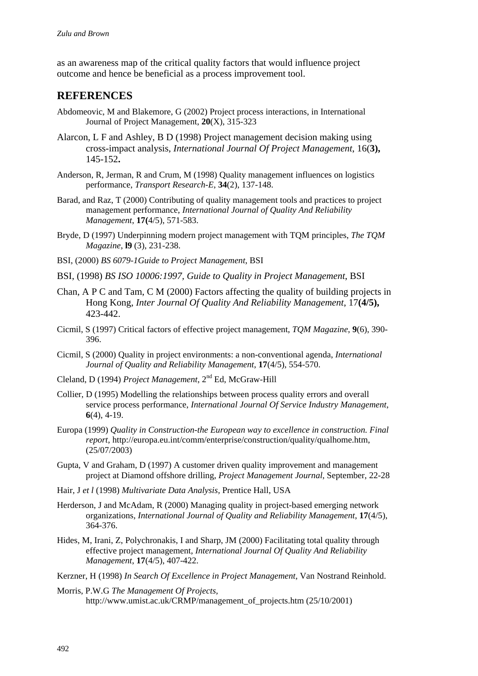as an awareness map of the critical quality factors that would influence project outcome and hence be beneficial as a process improvement tool.

## **REFERENCES**

- Abdomeovic, M and Blakemore, G (2002) Project process interactions, in International Journal of Project Management, **20**(X), 315-323
- Alarcon, L F and Ashley, B D (1998) Project management decision making using cross-impact analysis, *International Journal Of Project Management*, 16(**3),**  145-152**.**
- Anderson, R, Jerman, R and Crum, M (1998) Quality management influences on logistics performance, *Transport Research-E*, **34**(2), 137-148.
- Barad, and Raz, T (2000) Contributing of quality management tools and practices to project management performance, *International Journal of Quality And Reliability Management*, **17(**4/5), 571-583.
- Bryde, D (1997) Underpinning modern project management with TQM principles, *The TQM Magazine*, **l9** (3), 231-238.
- BSI, (2000) *BS 6079-1Guide to Project Management*, BSI
- BSI, (1998) *BS ISO 10006:1997, Guide to Quality in Project Management*, BSI
- Chan, A P C and Tam, C M (2000) Factors affecting the quality of building projects in Hong Kong, *Inter Journal Of Quality And Reliability Management*, 17**(4/5),**  423-442.
- Cicmil, S (1997) Critical factors of effective project management, *TQM Magazine*, **9**(6), 390- 396.
- Cicmil, S (2000) Quality in project environments: a non-conventional agenda, *International Journal of Quality and Reliability Management*, **17**(4/5), 554-570.
- Cleland, D (1994) *Project Management*, 2nd Ed, McGraw-Hill
- Collier, D (1995) Modelling the relationships between process quality errors and overall service process performance, *International Journal Of Service Industry Management*, **6**(4), 4-19.
- Europa (1999) *Quality in Construction-the European way to excellence in construction. Final report*, http://europa.eu.int/comm/enterprise/construction/quality/qualhome.htm, (25/07/2003)
- Gupta, V and Graham, D (1997) A customer driven quality improvement and management project at Diamond offshore drilling, *Project Management Journal*, September, 22-28
- Hair, J *et l* (1998) *Multivariate Data Analysis,* Prentice Hall, USA
- Herderson, J and McAdam, R (2000) Managing quality in project-based emerging network organizations, *International Journal of Quality and Reliability Management*, **17**(4/5), 364-376.
- Hides, M, Irani, Z, Polychronakis, I and Sharp, JM (2000) Facilitating total quality through effective project management, *International Journal Of Quality And Reliability Management*, **17**(4/5), 407-422.
- Kerzner, H (1998) *In Search Of Excellence in Project Management,* Van Nostrand Reinhold.
- Morris, P.W.G *The Management Of Projects,* http://www.umist.ac.uk/CRMP/management\_of\_projects.htm (25/10/2001)